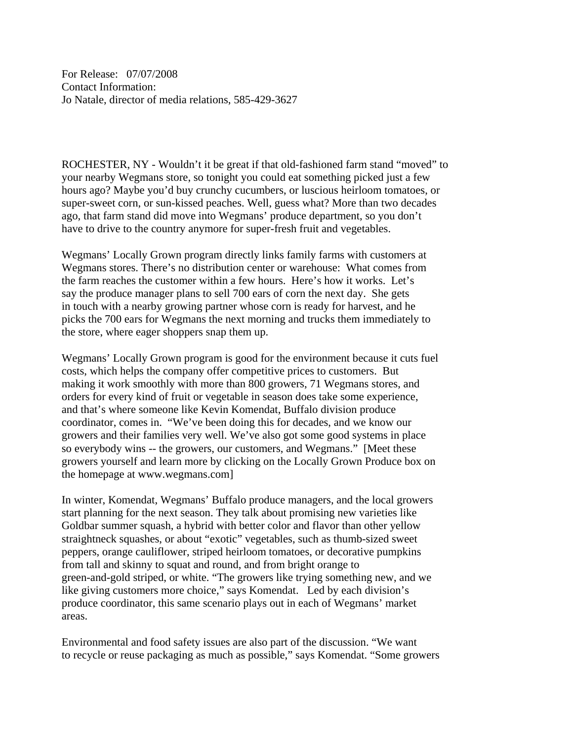For Release: 07/07/2008 Contact Information: Jo Natale, director of media relations, 585-429-3627

ROCHESTER, NY - Wouldn't it be great if that old-fashioned farm stand "moved" to your nearby Wegmans store, so tonight you could eat something picked just a few hours ago? Maybe you'd buy crunchy cucumbers, or luscious heirloom tomatoes, or super-sweet corn, or sun-kissed peaches. Well, guess what? More than two decades ago, that farm stand did move into Wegmans' produce department, so you don't have to drive to the country anymore for super-fresh fruit and vegetables.

Wegmans' Locally Grown program directly links family farms with customers at Wegmans stores. There's no distribution center or warehouse: What comes from the farm reaches the customer within a few hours. Here's how it works. Let's say the produce manager plans to sell 700 ears of corn the next day. She gets in touch with a nearby growing partner whose corn is ready for harvest, and he picks the 700 ears for Wegmans the next morning and trucks them immediately to the store, where eager shoppers snap them up.

Wegmans' Locally Grown program is good for the environment because it cuts fuel costs, which helps the company offer competitive prices to customers. But making it work smoothly with more than 800 growers, 71 Wegmans stores, and orders for every kind of fruit or vegetable in season does take some experience, and that's where someone like Kevin Komendat, Buffalo division produce coordinator, comes in. "We've been doing this for decades, and we know our growers and their families very well. We've also got some good systems in place so everybody wins -- the growers, our customers, and Wegmans." [Meet these growers yourself and learn more by clicking on the Locally Grown Produce box on the homepage at www.wegmans.com]

In winter, Komendat, Wegmans' Buffalo produce managers, and the local growers start planning for the next season. They talk about promising new varieties like Goldbar summer squash, a hybrid with better color and flavor than other yellow straightneck squashes, or about "exotic" vegetables, such as thumb-sized sweet peppers, orange cauliflower, striped heirloom tomatoes, or decorative pumpkins from tall and skinny to squat and round, and from bright orange to green-and-gold striped, or white. "The growers like trying something new, and we like giving customers more choice," says Komendat. Led by each division's produce coordinator, this same scenario plays out in each of Wegmans' market areas.

Environmental and food safety issues are also part of the discussion. "We want to recycle or reuse packaging as much as possible," says Komendat. "Some growers